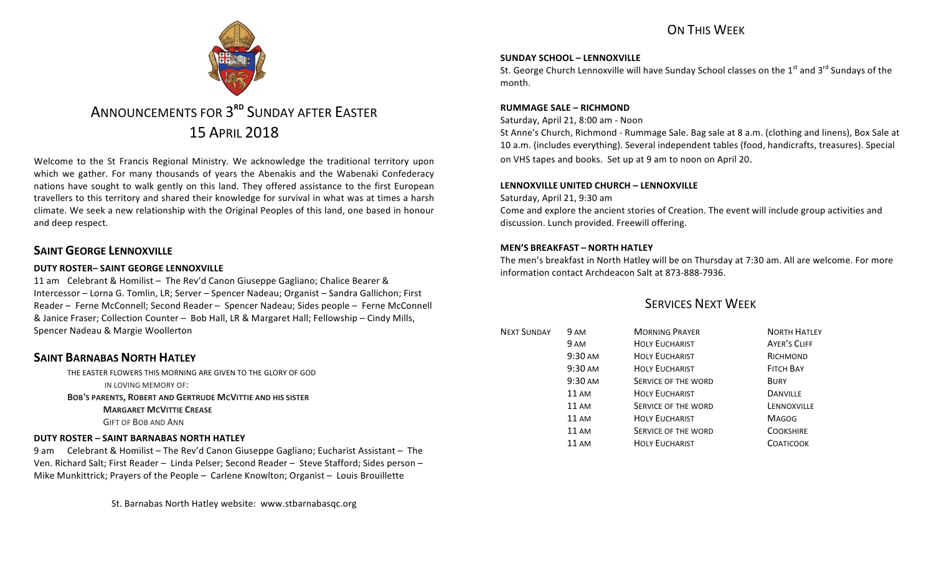## ON THIS WFFK



# ANNOUNCEMENTS FOR 3<sup>RD</sup> SUNDAY AFTER FASTER 15 APRIL 2018

Welcome to the St Francis Regional Ministry. We acknowledge the traditional territory upon which we gather. For many thousands of years the Abenakis and the Wabenaki Confederacy nations have sought to walk gently on this land. They offered assistance to the first European travellers to this territory and shared their knowledge for survival in what was at times a harsh climate. We seek a new relationship with the Original Peoples of this land, one based in honour and deep respect.

### **SAINT GEORGE LENNOXVILLE**

### **DUTY ROSTER– SAINT GEORGE LENNOXVILLE**

11 am Celebrant & Homilist – The Rev'd Canon Giuseppe Gagliano; Chalice Bearer & Intercessor – Lorna G. Tomlin, LR; Server – Spencer Nadeau; Organist – Sandra Gallichon; First Reader – Ferne McConnell; Second Reader – Spencer Nadeau; Sides people – Ferne McConnell & Janice Fraser; Collection Counter - Bob Hall, LR & Margaret Hall; Fellowship - Cindy Mills, Spencer Nadeau & Margie Woollerton

### **SAINT BARNABAS NORTH HATLEY**

THE EASTER FLOWERS THIS MORNING ARE GIVEN TO THE GLORY OF GOD IN LOVING MEMORY OF: **BOB'S PARENTS, ROBERT AND GERTRUDE MCVITTIE AND HIS SISTER MARGARET MCVITTIE CREASE GIFT OF BOB AND ANN** 

#### **DUTY ROSTER – SAINT BARNABAS NORTH HATLEY**

9 am Celebrant & Homilist – The Rev'd Canon Giuseppe Gagliano; Eucharist Assistant – The Ven. Richard Salt; First Reader - Linda Pelser; Second Reader - Steve Stafford; Sides person -Mike Munkittrick; Prayers of the People - Carlene Knowlton; Organist - Louis Brouillette

St. Barnabas North Hatley website: www.stbarnabasqc.org

#### **SUNDAY SCHOOL – LENNOXVILLE**

St. George Church Lennoxville will have Sunday School classes on the  $1<sup>st</sup>$  and  $3<sup>rd</sup>$  Sundays of the month.

#### **RUMMAGE SALE – RICHMOND**

Saturday, April 21, 8:00 am - Noon

St Anne's Church, Richmond - Rummage Sale. Bag sale at 8 a.m. (clothing and linens), Box Sale at 10 a.m. (includes everything). Several independent tables (food, handicrafts, treasures). Special on VHS tapes and books. Set up at 9 am to noon on April 20.

#### **LENNOXVILLE UNITED CHURCH – LENNOXVILLE**

Saturday, April 21, 9:30 am Come and explore the ancient stories of Creation. The event will include group activities and discussion. Lunch provided. Freewill offering.

#### **MEN'S BREAKFAST – NORTH HATLEY**

The men's breakfast in North Hatley will be on Thursday at 7:30 am. All are welcome. For more information contact Archdeacon Salt at 873-888-7936.

### **SERVICES NEXT WEEK**

| <b>NEXT SUNDAY</b> | 9 AM              | <b>MORNING PRAYER</b> | <b>NORTH HATLEY</b> |
|--------------------|-------------------|-----------------------|---------------------|
|                    | 9 AM              | <b>HOLY EUCHARIST</b> | <b>AYER'S CLIFF</b> |
|                    | 9:30 AM           | <b>HOLY EUCHARIST</b> | RICHMOND            |
|                    | $9:30 \text{ AM}$ | <b>HOLY EUCHARIST</b> | <b>FITCH BAY</b>    |
|                    | 9:30 AM           | SERVICE OF THE WORD   | <b>BURY</b>         |
|                    | $11 \text{ AM}$   | <b>HOLY EUCHARIST</b> | <b>DANVILLE</b>     |
|                    | 11 AM             | SERVICE OF THE WORD   | LENNOXVILLE         |
|                    | 11 AM             | <b>HOLY EUCHARIST</b> | <b>MAGOG</b>        |
|                    | 11 AM             | SERVICE OF THE WORD   | <b>COOKSHIRE</b>    |
|                    | 11 AM             | <b>HOLY EUCHARIST</b> | <b>COATICOOK</b>    |